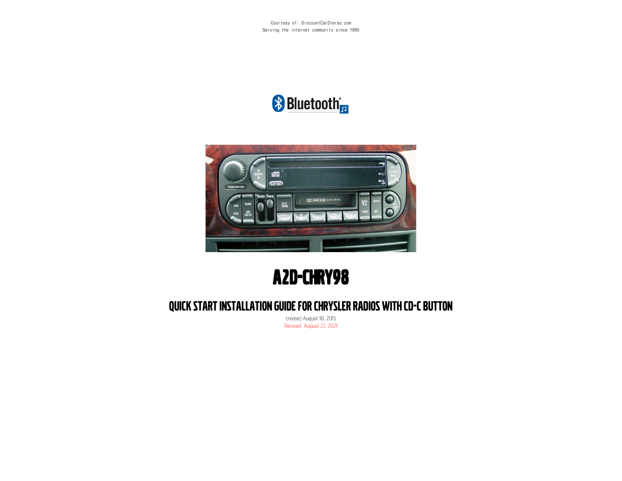Courtesy of: DiscountCarStereo.com Serving the internet community since 1995

# **\*** Bluetooth<sup>\*</sup>



# A2D-CHRY98

### QUICK START INSTALLATION GUIDE FOR CHRYSLER RADIOS WITH CD-C BUTTON

created August 10, 2015 Revised: August 22, 2021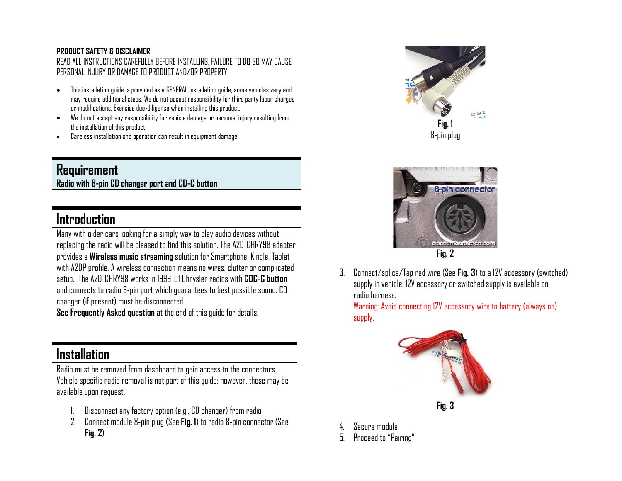#### **PRODUCT SAFETY & DISCLAIMER**

READ ALL INSTRUCTIONS CAREFULLY BEFORE INSTALLING, FAILURE TO DO SO MAY CAUSE PERSONAL INJURY OR DAMAGE TO PRODUCT AND/OR PROPERTY

- This installation guide is provided as a GENERAL installation guide, some vehicles vary and may require additional steps. We do not accept responsibility for third party labor charges or modifications. Exercise due-diligence when installing this product.
- We do not accept any responsibility for vehicle damage or personal injury resulting from the installation of this product.
- Careless installation and operation can result in equipment damage.

### **Requirement Radio with 8-pin CD changer port and CD-C button**

## **Introduction**

Many with older cars looking for a simply way to play audio devices without replacing the radio will be pleased to find this solution. The A2D-CHRY98 adapter provides a **Wireless music streaming** solution for Smartphone, Kindle, Tablet with A2DP profile. A wireless connection means no wires, clutter or complicated setup. The A2D-CHRY98 works in 1999-01 Chrysler radios with **CDC-C button** and connects to radio 8-pin port which guarantees to best possible sound. CD changer (if present) must be disconnected.

**See Frequently Asked question** at the end of this guide for details.

### **Installation**

Radio must be removed from dashboard to gain access to the connectors. Vehicle specific radio removal is not part of this guide; however, these may be available upon request.

- 1. Disconnect any factory option (e.g., CD changer) from radio
- 2. Connect module 8-pin plug (See **Fig. 1**) to radio 8-pin connector (See **Fig. 2**)





3. Connect/splice/Tap red wire (See **Fig. 3**) to a 12V accessory (switched) supply in vehicle. 12V accessory or switched supply is available on radio harness.

Warning: Avoid connecting 12V accessory wire to battery (always on) supply.



- 4. Secure module
- 5. Proceed to "Pairing"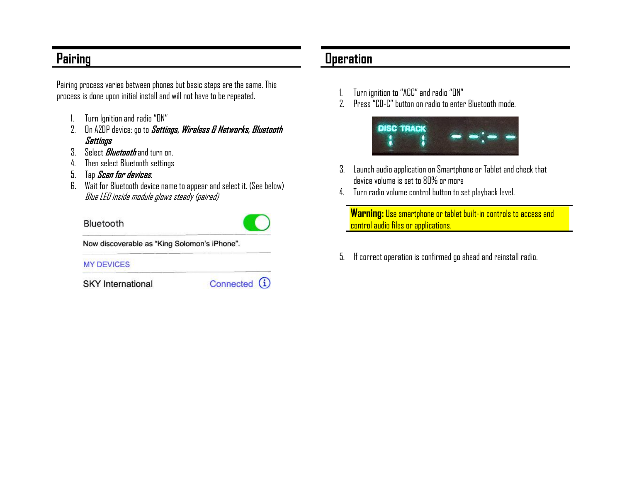## **Pairing**

Pairing process varies between phones but basic steps are the same. This process is done upon initial install and will not have to be repeated.

- 1. Turn Ignition and radio "ON"
- 2. On A2DP device: go to **Settings, Wireless & Networks, Bluetooth Settings**
- 3. Select **Bluetooth** and turn on.
- 4. Then select Bluetooth settings
- 5. Tap **Scan for devices**.
- 6. Wait for Bluetooth device name to appear and select it. (See below) Blue LED inside module glows steady (paired)

#### Bluetooth



Now discoverable as "King Solomon's iPhone".

#### **MY DEVICES**

**SKY** International

Connected (i)

### **Operation**

- 1. Turn ignition to "ACC" and radio"ON"
- 2. Press "CD-C" button on radio to enter Bluetooth mode.



- 3. Launch audio application on Smartphone or Tablet and check that device volume is set to 80% or more
- 4. Turn radio volume control button to set playback level.

**Warning:** Use smartphone or tablet built-in controls to access and control audio files or applications.

5. If correct operation is confirmed go ahead and reinstall radio.